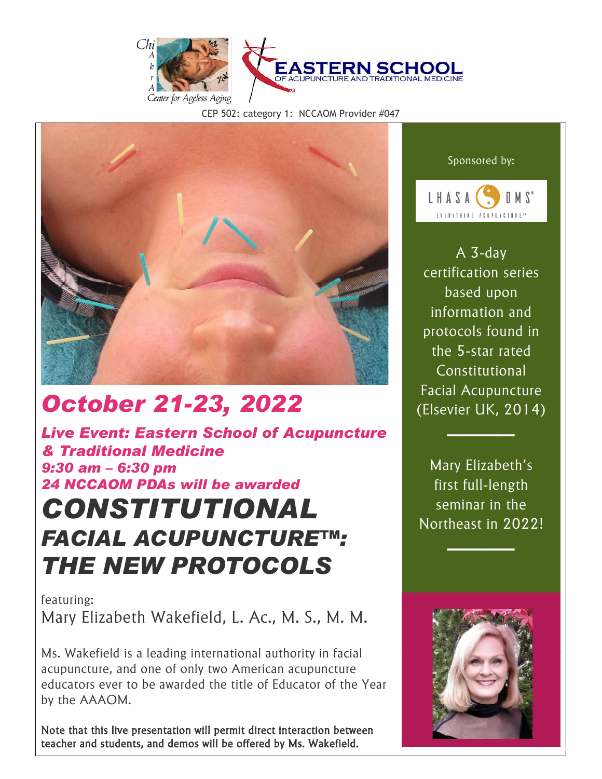

CEP 502: category 1: NCCAOM Provider #047



# *October 21-23, 2022*

*Live Event: Eastern School of Acupuncture & Traditional Medicine 9:30 am – 6:30 pm 24 NCCAOM PDAs will be awarded*

# *CONSTITUTIONAL FACIAL ACUPUNCTURE™: THE NEW PROTOCOLS*

featuring: Mary Elizabeth Wakefield, L. Ac., M. S., M. M.

Ms. Wakefield is a leading international authority in facial acupuncture, and one of only two American acupuncture educators ever to be awarded the title of Educator of the Year by the AAAOM.

Note that this live presentation will permit direct interaction between teacher and students, and demos will be offered by Ms. Wakefield.

Sponsored by:



A 3-day certification series based upon information and protocols found in the 5-star rated Constitutional Facial Acupuncture (Elsevier UK, 2014)

Mary Elizabeth's first full-length seminar in the Northeast in 2022!

────

────

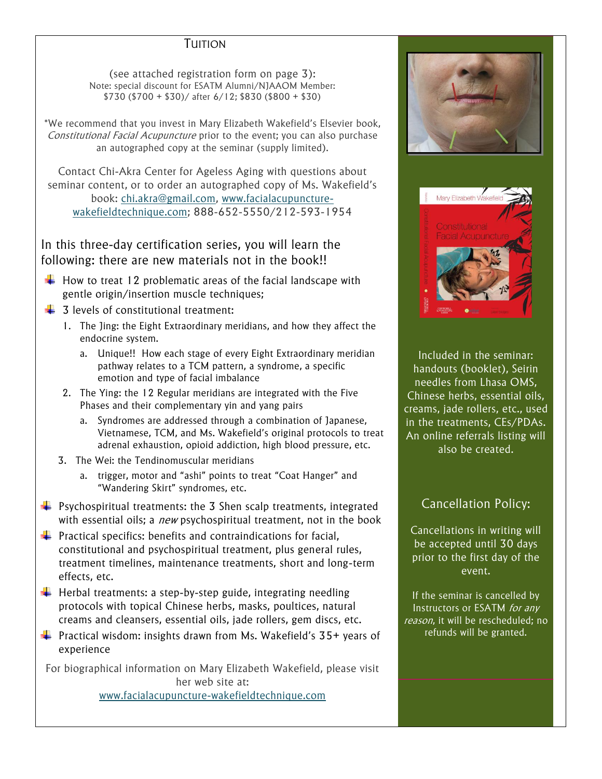## TUITION

(see attached registration form on page 3): Note: special discount for ESATM Alumni/NJAAOM Member: \$730 (\$700 + \$30)/ after 6/12; \$830 (\$800 + \$30)

\*We recommend that you invest in Mary Elizabeth Wakefield's Elsevier book, Constitutional Facial Acupuncture prior to the event; you can also purchase an autographed copy at the seminar (supply limited).

Contact Chi-Akra Center for Ageless Aging with questions about seminar content, or to order an autographed copy of Ms. Wakefield's book: [chi.akra@gmail.com,](mailto:chi.akra@gmail.com) [www.facialacupuncture](http://www.facialacupuncture-wakefieldtechnique.com/)[wakefieldtechnique.com;](http://www.facialacupuncture-wakefieldtechnique.com/) 888-652-5550/212-593-1954

In this three-day certification series, you will learn the following: there are new materials not in the book!!

- $\downarrow$  How to treat 12 problematic areas of the facial landscape with gentle origin/insertion muscle techniques;
- $\frac{1}{\sqrt{2}}$  3 levels of constitutional treatment:
	- 1. The Jing: the Eight Extraordinary meridians, and how they affect the endocrine system.
		- a. Unique!! How each stage of every Eight Extraordinary meridian pathway relates to a TCM pattern, a syndrome, a specific emotion and type of facial imbalance
	- 2. The Ying: the 12 Regular meridians are integrated with the Five Phases and their complementary yin and yang pairs
		- a. Syndromes are addressed through a combination of Japanese, Vietnamese, TCM, and Ms. Wakefield's original protocols to treat adrenal exhaustion, opioid addiction, high blood pressure, etc.
	- 3. The Wei: the Tendinomuscular meridians
		- a. trigger, motor and "ashi" points to treat "Coat Hanger" and "Wandering Skirt" syndromes, etc.
- $\ddot{\phantom{1}}$  Psychospiritual treatments: the 3 Shen scalp treatments, integrated with essential oils; a *new* psychospiritual treatment, not in the book
- $\downarrow$  Practical specifics: benefits and contraindications for facial, constitutional and psychospiritual treatment, plus general rules, treatment timelines, maintenance treatments, short and long-term effects, etc.
- $\downarrow$  Herbal treatments: a step-by-step guide, integrating needling protocols with topical Chinese herbs, masks, poultices, natural creams and cleansers, essential oils, jade rollers, gem discs, etc.
- **Practical wisdom: insights drawn from Ms. Wakefield's 35+ years of** experience

For biographical information on Mary Elizabeth Wakefield, please visit her web site at: [www.facialacupuncture-wakefieldtechnique.com](http://www.facialacupuncture-wakefieldtechnique.com/)





Included in the seminar: handouts (booklet), Seirin needles from Lhasa OMS, Chinese herbs, essential oils, creams, jade rollers, etc., used in the treatments, CEs/PDAs. An online referrals listing will also be created.

## Cancellation Policy:

Cancellations in writing will be accepted until 30 days prior to the first day of the event.

If the seminar is cancelled by Instructors or ESATM for any reason, it will be rescheduled; no refunds will be granted.